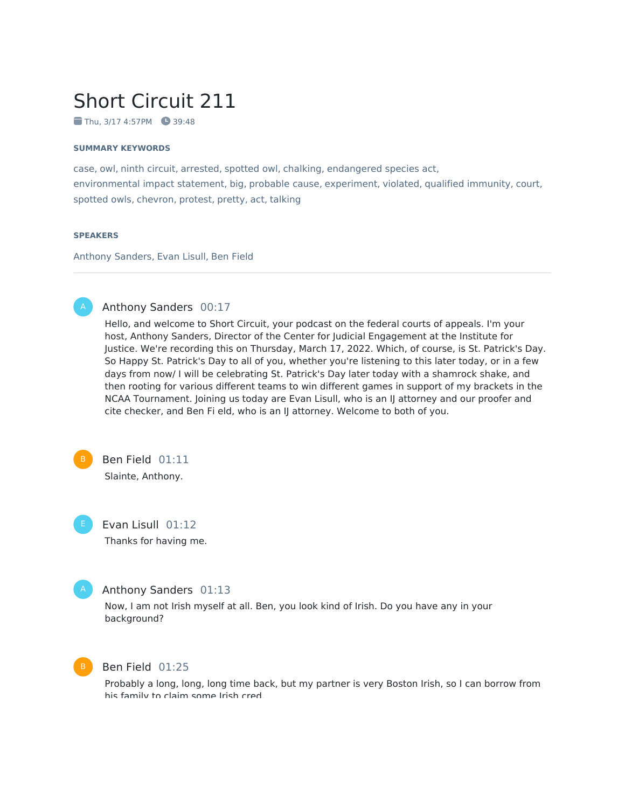# Short Circuit 211

 $\blacksquare$  Thu, 3/17 4:57PM  $\blacksquare$  39:48

#### **SUMMARY KEYWORDS**

case, owl, ninth circuit, arrested, spotted owl, chalking, endangered species act, environmental impact statement, big, probable cause, experiment, violated, qualified immunity, court, spotted owls, chevron, protest, pretty, act, talking

#### **SPEAKERS**

Anthony Sanders, Evan Lisull, Ben Field



# Anthony Sanders 00:17

Hello, and welcome to Short Circuit, your podcast on the federal courts of appeals. I'm your host, Anthony Sanders, Director of the Center for Judicial Engagement at the Institute for Justice. We're recording this on Thursday, March 17, 2022. Which, of course, is St. Patrick's Day. So Happy St. Patrick's Day to all of you, whether you're listening to this later today, or in a few days from now/ I will be celebrating St. Patrick's Day later today with a shamrock shake, and then rooting for various different teams to win different games in support of my brackets in the NCAA Tournament. Joining us today are Evan Lisull, who is an IJ attorney and our proofer and cite checker, and Ben Fi eld, who is an IJ attorney. Welcome to both of you.



Ben Field 01:11 Slainte, Anthony.

Evan Lisull 01:12 Thanks for having me.

# Anthony Sanders 01:13

Now, I am not Irish myself at all. Ben, you look kind of Irish. Do you have any in your background?



### Ben Field 01:25

Probably a long, long, long time back, but my partner is very Boston Irish, so I can borrow from his family to claim some Irish cred.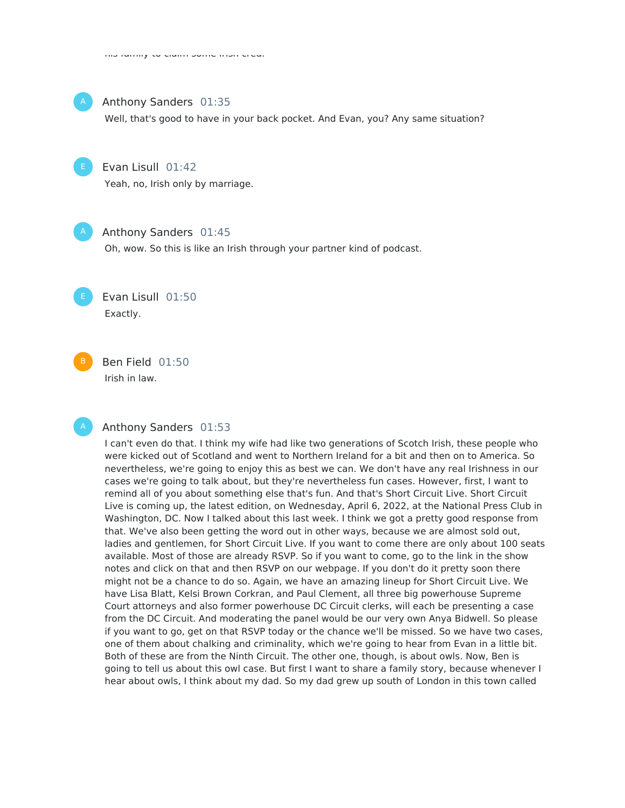

#### Anthony Sanders 01:35

Well, that's good to have in your back pocket. And Evan, you? Any same situation?



### Evan Lisull 01:42

Yeah, no, Irish only by marriage.



### Anthony Sanders 01:45

Oh, wow. So this is like an Irish through your partner kind of podcast.



Ben Field 01:50 Irish in law.

# Anthony Sanders 01:53

I can't even do that. I think my wife had like two generations of Scotch Irish, these people who were kicked out of Scotland and went to Northern Ireland for a bit and then on to America. So nevertheless, we're going to enjoy this as best we can. We don't have any real Irishness in our cases we're going to talk about, but they're nevertheless fun cases. However, first, I want to remind all of you about something else that's fun. And that's Short Circuit Live. Short Circuit Live is coming up, the latest edition, on Wednesday, April 6, 2022, at the National Press Club in Washington, DC. Now I talked about this last week. I think we got a pretty good response from that. We've also been getting the word out in other ways, because we are almost sold out, ladies and gentlemen, for Short Circuit Live. If you want to come there are only about 100 seats available. Most of those are already RSVP. So if you want to come, go to the link in the show notes and click on that and then RSVP on our webpage. If you don't do it pretty soon there might not be a chance to do so. Again, we have an amazing lineup for Short Circuit Live. We have Lisa Blatt, Kelsi Brown Corkran, and Paul Clement, all three big powerhouse Supreme Court attorneys and also former powerhouse DC Circuit clerks, will each be presenting a case from the DC Circuit. And moderating the panel would be our very own Anya Bidwell. So please if you want to go, get on that RSVP today or the chance we'll be missed. So we have two cases, one of them about chalking and criminality, which we're going to hear from Evan in a little bit. Both of these are from the Ninth Circuit. The other one, though, is about owls. Now, Ben is going to tell us about this owl case. But first I want to share a family story, because whenever I hear about owls, I think about my dad. So my dad grew up south of London in this town called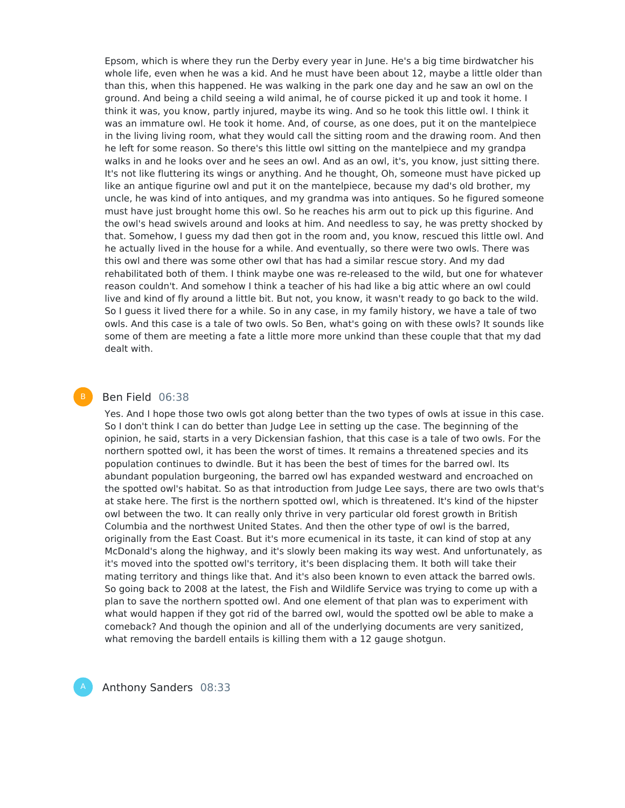Epsom, which is where they run the Derby every year in June. He's a big time birdwatcher his whole life, even when he was a kid. And he must have been about 12, maybe a little older than than this, when this happened. He was walking in the park one day and he saw an owl on the ground. And being a child seeing a wild animal, he of course picked it up and took it home. I think it was, you know, partly injured, maybe its wing. And so he took this little owl. I think it was an immature owl. He took it home. And, of course, as one does, put it on the mantelpiece in the living living room, what they would call the sitting room and the drawing room. And then he left for some reason. So there's this little owl sitting on the mantelpiece and my grandpa walks in and he looks over and he sees an owl. And as an owl, it's, you know, just sitting there. It's not like fluttering its wings or anything. And he thought, Oh, someone must have picked up like an antique figurine owl and put it on the mantelpiece, because my dad's old brother, my uncle, he was kind of into antiques, and my grandma was into antiques. So he figured someone must have just brought home this owl. So he reaches his arm out to pick up this figurine. And the owl's head swivels around and looks at him. And needless to say, he was pretty shocked by that. Somehow, I guess my dad then got in the room and, you know, rescued this little owl. And he actually lived in the house for a while. And eventually, so there were two owls. There was this owl and there was some other owl that has had a similar rescue story. And my dad rehabilitated both of them. I think maybe one was re-released to the wild, but one for whatever reason couldn't. And somehow I think a teacher of his had like a big attic where an owl could live and kind of fly around a little bit. But not, you know, it wasn't ready to go back to the wild. So I guess it lived there for a while. So in any case, in my family history, we have a tale of two owls. And this case is a tale of two owls. So Ben, what's going on with these owls? It sounds like some of them are meeting a fate a little more more unkind than these couple that that my dad dealt with.

# Ben Field 06:38

Yes. And I hope those two owls got along better than the two types of owls at issue in this case. So I don't think I can do better than Judge Lee in setting up the case. The beginning of the opinion, he said, starts in a very Dickensian fashion, that this case is a tale of two owls. For the northern spotted owl, it has been the worst of times. It remains a threatened species and its population continues to dwindle. But it has been the best of times for the barred owl. Its abundant population burgeoning, the barred owl has expanded westward and encroached on the spotted owl's habitat. So as that introduction from Judge Lee says, there are two owls that's at stake here. The first is the northern spotted owl, which is threatened. It's kind of the hipster owl between the two. It can really only thrive in very particular old forest growth in British Columbia and the northwest United States. And then the other type of owl is the barred, originally from the East Coast. But it's more ecumenical in its taste, it can kind of stop at any McDonald's along the highway, and it's slowly been making its way west. And unfortunately, as it's moved into the spotted owl's territory, it's been displacing them. It both will take their mating territory and things like that. And it's also been known to even attack the barred owls. So going back to 2008 at the latest, the Fish and Wildlife Service was trying to come up with a plan to save the northern spotted owl. And one element of that plan was to experiment with what would happen if they got rid of the barred owl, would the spotted owl be able to make a comeback? And though the opinion and all of the underlying documents are very sanitized, what removing the bardell entails is killing them with a 12 gauge shotgun.



Anthony Sanders 08:33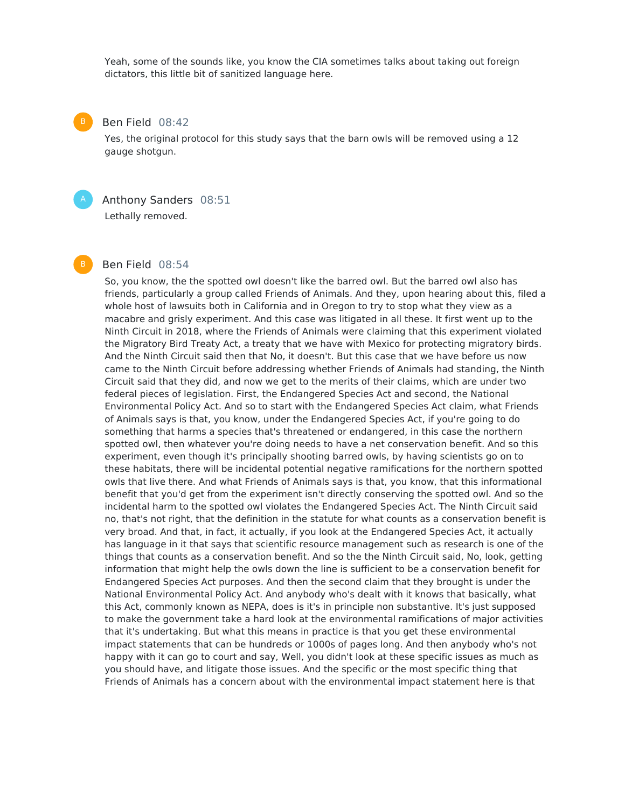Yeah, some of the sounds like, you know the CIA sometimes talks about taking out foreign dictators, this little bit of sanitized language here.

#### Ben Field 08:42

Yes, the original protocol for this study says that the barn owls will be removed using a 12 gauge shotgun.



# Anthony Sanders 08:51

Lethally removed.

#### Ben Field 08:54

So, you know, the the spotted owl doesn't like the barred owl. But the barred owl also has friends, particularly a group called Friends of Animals. And they, upon hearing about this, filed a whole host of lawsuits both in California and in Oregon to try to stop what they view as a macabre and grisly experiment. And this case was litigated in all these. It first went up to the Ninth Circuit in 2018, where the Friends of Animals were claiming that this experiment violated the Migratory Bird Treaty Act, a treaty that we have with Mexico for protecting migratory birds. And the Ninth Circuit said then that No, it doesn't. But this case that we have before us now came to the Ninth Circuit before addressing whether Friends of Animals had standing, the Ninth Circuit said that they did, and now we get to the merits of their claims, which are under two federal pieces of legislation. First, the Endangered Species Act and second, the National Environmental Policy Act. And so to start with the Endangered Species Act claim, what Friends of Animals says is that, you know, under the Endangered Species Act, if you're going to do something that harms a species that's threatened or endangered, in this case the northern spotted owl, then whatever you're doing needs to have a net conservation benefit. And so this experiment, even though it's principally shooting barred owls, by having scientists go on to these habitats, there will be incidental potential negative ramifications for the northern spotted owls that live there. And what Friends of Animals says is that, you know, that this informational benefit that you'd get from the experiment isn't directly conserving the spotted owl. And so the incidental harm to the spotted owl violates the Endangered Species Act. The Ninth Circuit said no, that's not right, that the definition in the statute for what counts as a conservation benefit is very broad. And that, in fact, it actually, if you look at the Endangered Species Act, it actually has language in it that says that scientific resource management such as research is one of the things that counts as a conservation benefit. And so the the Ninth Circuit said, No, look, getting information that might help the owls down the line is sufficient to be a conservation benefit for Endangered Species Act purposes. And then the second claim that they brought is under the National Environmental Policy Act. And anybody who's dealt with it knows that basically, what this Act, commonly known as NEPA, does is it's in principle non substantive. It's just supposed to make the government take a hard look at the environmental ramifications of major activities that it's undertaking. But what this means in practice is that you get these environmental impact statements that can be hundreds or 1000s of pages long. And then anybody who's not happy with it can go to court and say, Well, you didn't look at these specific issues as much as you should have, and litigate those issues. And the specific or the most specific thing that Friends of Animals has a concern about with the environmental impact statement here is that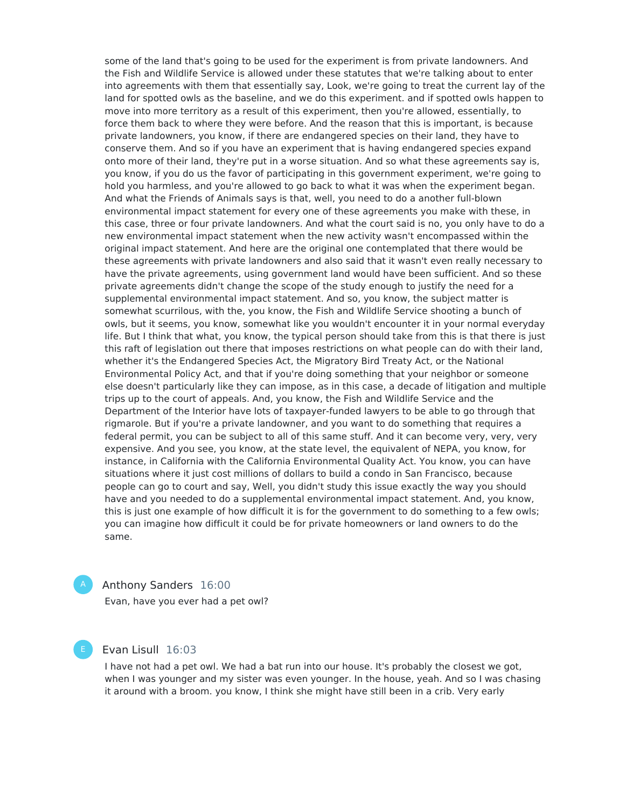some of the land that's going to be used for the experiment is from private landowners. And the Fish and Wildlife Service is allowed under these statutes that we're talking about to enter into agreements with them that essentially say, Look, we're going to treat the current lay of the land for spotted owls as the baseline, and we do this experiment. and if spotted owls happen to move into more territory as a result of this experiment, then you're allowed, essentially, to force them back to where they were before. And the reason that this is important, is because private landowners, you know, if there are endangered species on their land, they have to conserve them. And so if you have an experiment that is having endangered species expand onto more of their land, they're put in a worse situation. And so what these agreements say is, you know, if you do us the favor of participating in this government experiment, we're going to hold you harmless, and you're allowed to go back to what it was when the experiment began. And what the Friends of Animals says is that, well, you need to do a another full-blown environmental impact statement for every one of these agreements you make with these, in this case, three or four private landowners. And what the court said is no, you only have to do a new environmental impact statement when the new activity wasn't encompassed within the original impact statement. And here are the original one contemplated that there would be these agreements with private landowners and also said that it wasn't even really necessary to have the private agreements, using government land would have been sufficient. And so these private agreements didn't change the scope of the study enough to justify the need for a supplemental environmental impact statement. And so, you know, the subject matter is somewhat scurrilous, with the, you know, the Fish and Wildlife Service shooting a bunch of owls, but it seems, you know, somewhat like you wouldn't encounter it in your normal everyday life. But I think that what, you know, the typical person should take from this is that there is just this raft of legislation out there that imposes restrictions on what people can do with their land, whether it's the Endangered Species Act, the Migratory Bird Treaty Act, or the National Environmental Policy Act, and that if you're doing something that your neighbor or someone else doesn't particularly like they can impose, as in this case, a decade of litigation and multiple trips up to the court of appeals. And, you know, the Fish and Wildlife Service and the Department of the Interior have lots of taxpayer-funded lawyers to be able to go through that rigmarole. But if you're a private landowner, and you want to do something that requires a federal permit, you can be subject to all of this same stuff. And it can become very, very, very expensive. And you see, you know, at the state level, the equivalent of NEPA, you know, for instance, in California with the California Environmental Quality Act. You know, you can have situations where it just cost millions of dollars to build a condo in San Francisco, because people can go to court and say, Well, you didn't study this issue exactly the way you should have and you needed to do a supplemental environmental impact statement. And, you know, this is just one example of how difficult it is for the government to do something to a few owls; you can imagine how difficult it could be for private homeowners or land owners to do the same.

# Anthony Sanders 16:00

Evan, have you ever had a pet owl?

# Evan Lisull 16:03

I have not had a pet owl. We had a bat run into our house. It's probably the closest we got, when I was younger and my sister was even younger. In the house, yeah. And so I was chasing it around with a broom. you know, I think she might have still been in a crib. Very early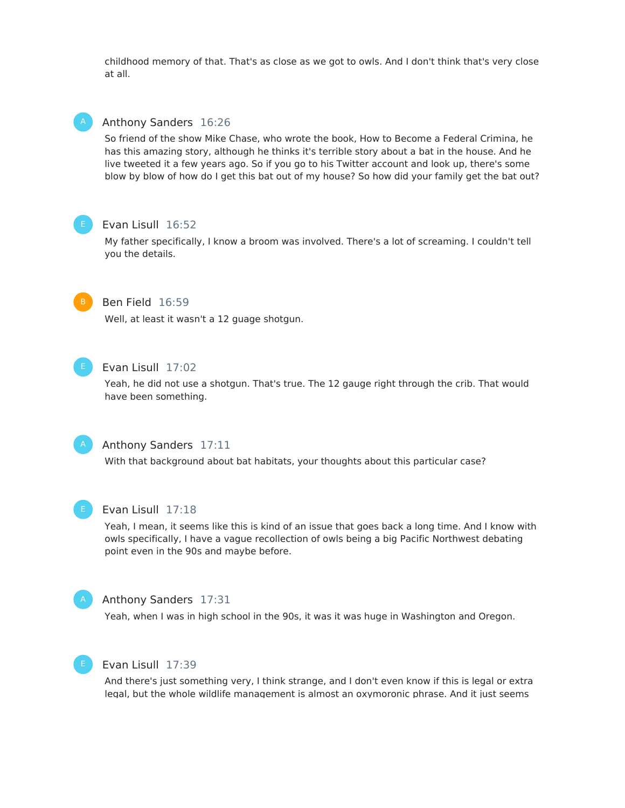childhood memory of that. That's as close as we got to owls. And I don't think that's very close at all.



#### Anthony Sanders 16:26

So friend of the show Mike Chase, who wrote the book, How to Become a Federal Crimina, he has this amazing story, although he thinks it's terrible story about a bat in the house. And he live tweeted it a few years ago. So if you go to his Twitter account and look up, there's some blow by blow of how do I get this bat out of my house? So how did your family get the bat out?



# Evan Lisull 16:52

My father specifically, I know a broom was involved. There's a lot of screaming. I couldn't tell you the details.



# Ben Field 16:59

Well, at least it wasn't a 12 guage shotgun.



# Evan Lisull 17:02

Yeah, he did not use a shotgun. That's true. The 12 gauge right through the crib. That would have been something.



# Anthony Sanders 17:11

With that background about bat habitats, your thoughts about this particular case?



#### Evan Lisull 17:18

Yeah, I mean, it seems like this is kind of an issue that goes back a long time. And I know with owls specifically, I have a vague recollection of owls being a big Pacific Northwest debating point even in the 90s and maybe before.



#### Anthony Sanders 17:31

Yeah, when I was in high school in the 90s, it was it was huge in Washington and Oregon.



#### Evan Lisull 17:39

And there's just something very, I think strange, and I don't even know if this is legal or extra legal, but the whole wildlife management is almost an oxymoronic phrase. And it just seems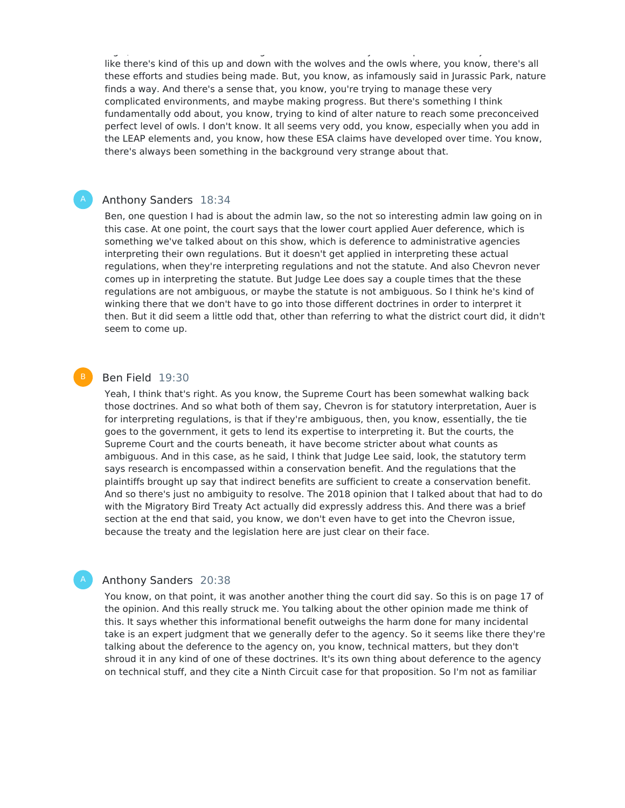legal, but the whole wildlife management is almost an oxymoronic phrase. And it just seems like there's kind of this up and down with the wolves and the owls where, you know, there's all these efforts and studies being made. But, you know, as infamously said in Jurassic Park, nature finds a way. And there's a sense that, you know, you're trying to manage these very complicated environments, and maybe making progress. But there's something I think fundamentally odd about, you know, trying to kind of alter nature to reach some preconceived perfect level of owls. I don't know. It all seems very odd, you know, especially when you add in the LEAP elements and, you know, how these ESA claims have developed over time. You know, there's always been something in the background very strange about that.

#### Anthony Sanders 18:34

Ben, one question I had is about the admin law, so the not so interesting admin law going on in this case. At one point, the court says that the lower court applied Auer deference, which is something we've talked about on this show, which is deference to administrative agencies interpreting their own regulations. But it doesn't get applied in interpreting these actual regulations, when they're interpreting regulations and not the statute. And also Chevron never comes up in interpreting the statute. But Judge Lee does say a couple times that the these regulations are not ambiguous, or maybe the statute is not ambiguous. So I think he's kind of winking there that we don't have to go into those different doctrines in order to interpret it then. But it did seem a little odd that, other than referring to what the district court did, it didn't seem to come up.

# Ben Field 19:30

Yeah, I think that's right. As you know, the Supreme Court has been somewhat walking back those doctrines. And so what both of them say, Chevron is for statutory interpretation, Auer is for interpreting regulations, is that if they're ambiguous, then, you know, essentially, the tie goes to the government, it gets to lend its expertise to interpreting it. But the courts, the Supreme Court and the courts beneath, it have become stricter about what counts as ambiguous. And in this case, as he said, I think that Judge Lee said, look, the statutory term says research is encompassed within a conservation benefit. And the regulations that the plaintiffs brought up say that indirect benefits are sufficient to create a conservation benefit. And so there's just no ambiguity to resolve. The 2018 opinion that I talked about that had to do with the Migratory Bird Treaty Act actually did expressly address this. And there was a brief section at the end that said, you know, we don't even have to get into the Chevron issue, because the treaty and the legislation here are just clear on their face.

#### Anthony Sanders 20:38

You know, on that point, it was another another thing the court did say. So this is on page 17 of the opinion. And this really struck me. You talking about the other opinion made me think of this. It says whether this informational benefit outweighs the harm done for many incidental take is an expert judgment that we generally defer to the agency. So it seems like there they're talking about the deference to the agency on, you know, technical matters, but they don't shroud it in any kind of one of these doctrines. It's its own thing about deference to the agency on technical stuff, and they cite a Ninth Circuit case for that proposition. So I'm not as familiar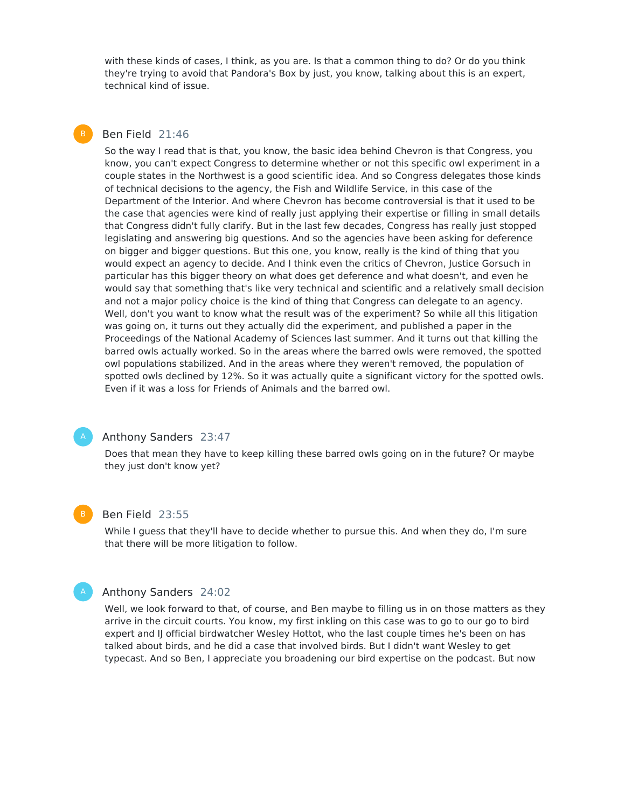with these kinds of cases, I think, as you are. Is that a common thing to do? Or do you think they're trying to avoid that Pandora's Box by just, you know, talking about this is an expert, technical kind of issue.

# Ben Field 21:46

So the way I read that is that, you know, the basic idea behind Chevron is that Congress, you know, you can't expect Congress to determine whether or not this specific owl experiment in a couple states in the Northwest is a good scientific idea. And so Congress delegates those kinds of technical decisions to the agency, the Fish and Wildlife Service, in this case of the Department of the Interior. And where Chevron has become controversial is that it used to be the case that agencies were kind of really just applying their expertise or filling in small details that Congress didn't fully clarify. But in the last few decades, Congress has really just stopped legislating and answering big questions. And so the agencies have been asking for deference on bigger and bigger questions. But this one, you know, really is the kind of thing that you would expect an agency to decide. And I think even the critics of Chevron, Justice Gorsuch in particular has this bigger theory on what does get deference and what doesn't, and even he would say that something that's like very technical and scientific and a relatively small decision and not a major policy choice is the kind of thing that Congress can delegate to an agency. Well, don't you want to know what the result was of the experiment? So while all this litigation was going on, it turns out they actually did the experiment, and published a paper in the Proceedings of the National Academy of Sciences last summer. And it turns out that killing the barred owls actually worked. So in the areas where the barred owls were removed, the spotted owl populations stabilized. And in the areas where they weren't removed, the population of spotted owls declined by 12%. So it was actually quite a significant victory for the spotted owls. Even if it was a loss for Friends of Animals and the barred owl.



### Anthony Sanders 23:47

Does that mean they have to keep killing these barred owls going on in the future? Or maybe they just don't know yet?

#### Ben Field 23:55

While I guess that they'll have to decide whether to pursue this. And when they do, I'm sure that there will be more litigation to follow.



#### Anthony Sanders 24:02

Well, we look forward to that, of course, and Ben maybe to filling us in on those matters as they arrive in the circuit courts. You know, my first inkling on this case was to go to our go to bird expert and IJ official birdwatcher Wesley Hottot, who the last couple times he's been on has talked about birds, and he did a case that involved birds. But I didn't want Wesley to get typecast. And so Ben, I appreciate you broadening our bird expertise on the podcast. But now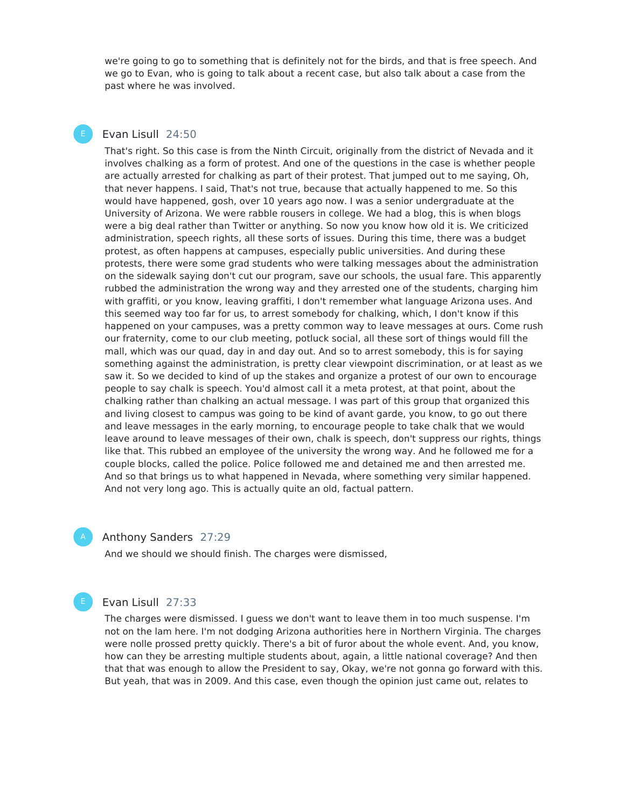we're going to go to something that is definitely not for the birds, and that is free speech. And we go to Evan, who is going to talk about a recent case, but also talk about a case from the past where he was involved.

# Evan Lisull 24:50

That's right. So this case is from the Ninth Circuit, originally from the district of Nevada and it involves chalking as a form of protest. And one of the questions in the case is whether people are actually arrested for chalking as part of their protest. That jumped out to me saying, Oh, that never happens. I said, That's not true, because that actually happened to me. So this would have happened, gosh, over 10 years ago now. I was a senior undergraduate at the University of Arizona. We were rabble rousers in college. We had a blog, this is when blogs were a big deal rather than Twitter or anything. So now you know how old it is. We criticized administration, speech rights, all these sorts of issues. During this time, there was a budget protest, as often happens at campuses, especially public universities. And during these protests, there were some grad students who were talking messages about the administration on the sidewalk saying don't cut our program, save our schools, the usual fare. This apparently rubbed the administration the wrong way and they arrested one of the students, charging him with graffiti, or you know, leaving graffiti, I don't remember what language Arizona uses. And this seemed way too far for us, to arrest somebody for chalking, which, I don't know if this happened on your campuses, was a pretty common way to leave messages at ours. Come rush our fraternity, come to our club meeting, potluck social, all these sort of things would fill the mall, which was our quad, day in and day out. And so to arrest somebody, this is for saying something against the administration, is pretty clear viewpoint discrimination, or at least as we saw it. So we decided to kind of up the stakes and organize a protest of our own to encourage people to say chalk is speech. You'd almost call it a meta protest, at that point, about the chalking rather than chalking an actual message. I was part of this group that organized this and living closest to campus was going to be kind of avant garde, you know, to go out there and leave messages in the early morning, to encourage people to take chalk that we would leave around to leave messages of their own, chalk is speech, don't suppress our rights, things like that. This rubbed an employee of the university the wrong way. And he followed me for a couple blocks, called the police. Police followed me and detained me and then arrested me. And so that brings us to what happened in Nevada, where something very similar happened. And not very long ago. This is actually quite an old, factual pattern.

#### Anthony Sanders 27:29

And we should we should finish. The charges were dismissed,



# Evan Lisull 27:33

The charges were dismissed. I guess we don't want to leave them in too much suspense. I'm not on the lam here. I'm not dodging Arizona authorities here in Northern Virginia. The charges were nolle prossed pretty quickly. There's a bit of furor about the whole event. And, you know, how can they be arresting multiple students about, again, a little national coverage? And then that that was enough to allow the President to say, Okay, we're not gonna go forward with this. But yeah, that was in 2009. And this case, even though the opinion just came out, relates to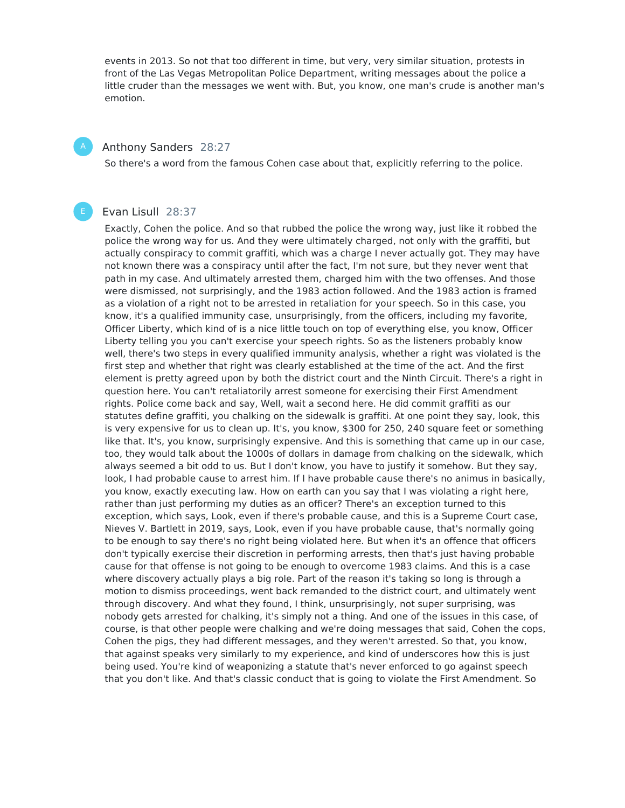events in 2013. So not that too different in time, but very, very similar situation, protests in front of the Las Vegas Metropolitan Police Department, writing messages about the police a little cruder than the messages we went with. But, you know, one man's crude is another man's emotion.

#### Anthony Sanders 28:27

So there's a word from the famous Cohen case about that, explicitly referring to the police.

#### Evan Lisull 28:37

Exactly, Cohen the police. And so that rubbed the police the wrong way, just like it robbed the police the wrong way for us. And they were ultimately charged, not only with the graffiti, but actually conspiracy to commit graffiti, which was a charge I never actually got. They may have not known there was a conspiracy until after the fact, I'm not sure, but they never went that path in my case. And ultimately arrested them, charged him with the two offenses. And those were dismissed, not surprisingly, and the 1983 action followed. And the 1983 action is framed as a violation of a right not to be arrested in retaliation for your speech. So in this case, you know, it's a qualified immunity case, unsurprisingly, from the officers, including my favorite, Officer Liberty, which kind of is a nice little touch on top of everything else, you know, Officer Liberty telling you you can't exercise your speech rights. So as the listeners probably know well, there's two steps in every qualified immunity analysis, whether a right was violated is the first step and whether that right was clearly established at the time of the act. And the first element is pretty agreed upon by both the district court and the Ninth Circuit. There's a right in question here. You can't retaliatorily arrest someone for exercising their First Amendment rights. Police come back and say, Well, wait a second here. He did commit graffiti as our statutes define graffiti, you chalking on the sidewalk is graffiti. At one point they say, look, this is very expensive for us to clean up. It's, you know, \$300 for 250, 240 square feet or something like that. It's, you know, surprisingly expensive. And this is something that came up in our case, too, they would talk about the 1000s of dollars in damage from chalking on the sidewalk, which always seemed a bit odd to us. But I don't know, you have to justify it somehow. But they say, look, I had probable cause to arrest him. If I have probable cause there's no animus in basically, you know, exactly executing law. How on earth can you say that I was violating a right here, rather than just performing my duties as an officer? There's an exception turned to this exception, which says, Look, even if there's probable cause, and this is a Supreme Court case, Nieves V. Bartlett in 2019, says, Look, even if you have probable cause, that's normally going to be enough to say there's no right being violated here. But when it's an offence that officers don't typically exercise their discretion in performing arrests, then that's just having probable cause for that offense is not going to be enough to overcome 1983 claims. And this is a case where discovery actually plays a big role. Part of the reason it's taking so long is through a motion to dismiss proceedings, went back remanded to the district court, and ultimately went through discovery. And what they found, I think, unsurprisingly, not super surprising, was nobody gets arrested for chalking, it's simply not a thing. And one of the issues in this case, of course, is that other people were chalking and we're doing messages that said, Cohen the cops, Cohen the pigs, they had different messages, and they weren't arrested. So that, you know, that against speaks very similarly to my experience, and kind of underscores how this is just being used. You're kind of weaponizing a statute that's never enforced to go against speech that you don't like. And that's classic conduct that is going to violate the First Amendment. So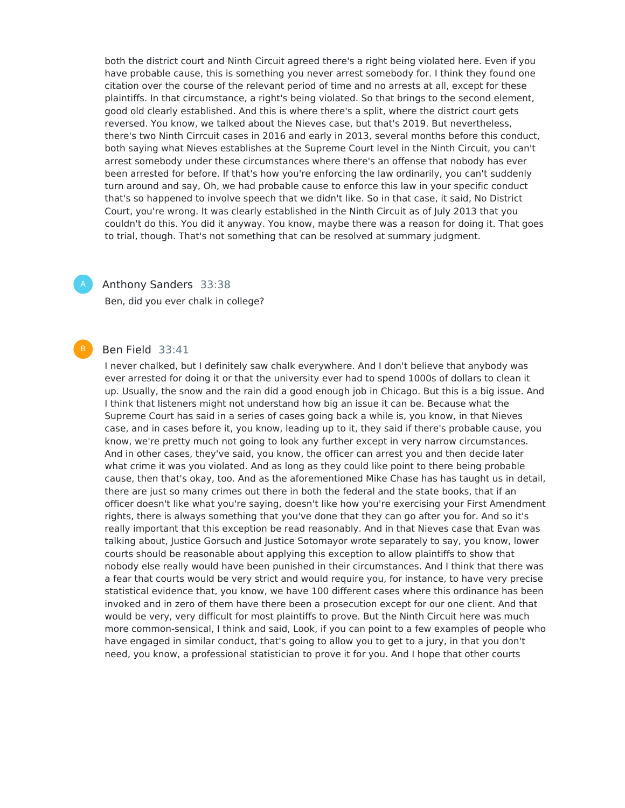both the district court and Ninth Circuit agreed there's a right being violated here. Even if you have probable cause, this is something you never arrest somebody for. I think they found one citation over the course of the relevant period of time and no arrests at all, except for these plaintiffs. In that circumstance, a right's being violated. So that brings to the second element, good old clearly established. And this is where there's a split, where the district court gets reversed. You know, we talked about the Nieves case, but that's 2019. But nevertheless, there's two Ninth Cirrcuit cases in 2016 and early in 2013, several months before this conduct, both saying what Nieves establishes at the Supreme Court level in the Ninth Circuit, you can't arrest somebody under these circumstances where there's an offense that nobody has ever been arrested for before. If that's how you're enforcing the law ordinarily, you can't suddenly turn around and say, Oh, we had probable cause to enforce this law in your specific conduct that's so happened to involve speech that we didn't like. So in that case, it said, No District Court, you're wrong. It was clearly established in the Ninth Circuit as of July 2013 that you couldn't do this. You did it anyway. You know, maybe there was a reason for doing it. That goes to trial, though. That's not something that can be resolved at summary judgment.

#### Anthony Sanders 33:38

Ben, did you ever chalk in college?

#### Ben Field 33:41

I never chalked, but I definitely saw chalk everywhere. And I don't believe that anybody was ever arrested for doing it or that the university ever had to spend 1000s of dollars to clean it up. Usually, the snow and the rain did a good enough job in Chicago. But this is a big issue. And I think that listeners might not understand how big an issue it can be. Because what the Supreme Court has said in a series of cases going back a while is, you know, in that Nieves case, and in cases before it, you know, leading up to it, they said if there's probable cause, you know, we're pretty much not going to look any further except in very narrow circumstances. And in other cases, they've said, you know, the officer can arrest you and then decide later what crime it was you violated. And as long as they could like point to there being probable cause, then that's okay, too. And as the aforementioned Mike Chase has has taught us in detail, there are just so many crimes out there in both the federal and the state books, that if an officer doesn't like what you're saying, doesn't like how you're exercising your First Amendment rights, there is always something that you've done that they can go after you for. And so it's really important that this exception be read reasonably. And in that Nieves case that Evan was talking about, Justice Gorsuch and Justice Sotomayor wrote separately to say, you know, lower courts should be reasonable about applying this exception to allow plaintiffs to show that nobody else really would have been punished in their circumstances. And I think that there was a fear that courts would be very strict and would require you, for instance, to have very precise statistical evidence that, you know, we have 100 different cases where this ordinance has been invoked and in zero of them have there been a prosecution except for our one client. And that would be very, very difficult for most plaintiffs to prove. But the Ninth Circuit here was much more common-sensical, I think and said, Look, if you can point to a few examples of people who have engaged in similar conduct, that's going to allow you to get to a jury, in that you don't need, you know, a professional statistician to prove it for you. And I hope that other courts